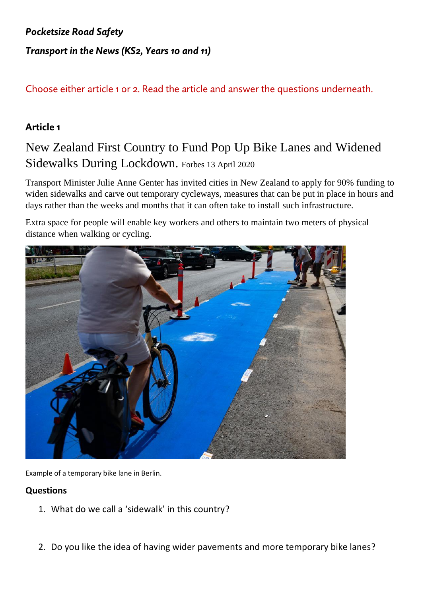# *Pocketsize Road Safety Transport in the News (KS2, Years 10 and 11)*

## Choose either article 1 or 2. Read the article and answer the questions underneath.

### **Article 1**

## New Zealand First Country to Fund Pop Up Bike Lanes and Widened Sidewalks During Lockdown. Forbes 13 April 2020

Transport Minister Julie Anne Genter has invited cities in New Zealand to apply for 90% funding to widen sidewalks and carve out temporary cycleways, measures that can be put in place in hours and days rather than the weeks and months that it can often take to install such infrastructure.

Extra space for people will enable key workers and others to maintain two meters of physical distance when walking or cycling.



Example of a temporary bike lane in Berlin.

#### **Questions**

- 1. What do we call a 'sidewalk' in this country?
- 2. Do you like the idea of having wider pavements and more temporary bike lanes?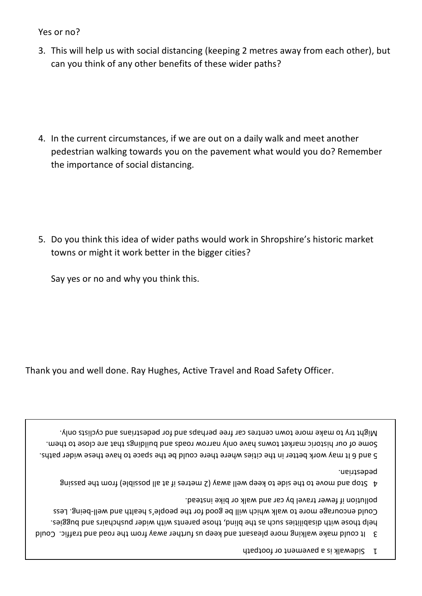1 Sidewalk is a pavement or footpath

S It could make walking more pleasant and keep us further away from the road and traffic. Could the blund, the bapilities changer pushes build, those barents with wider pushchairs and buggies. Could encourage more to walk which will be good for the people's health and well-being. Less pollution if fewer travel by car and walk or bike instead.

gnized at a mong legispod lie to it and metres if as all possible) from the passing and side side to the side t pedestrian.

5 and 6 It may work better in the cities where there could be the space to have these wider paths. some of our historic market towns have only narrow roads and buildings that are close to them. . Wight try to make more town centres car free perhaps and for pedestrians and cyclists only.

Thank you and well done. Ray Hughes, Active Travel and Road Safety Officer.

Say yes or no and why you think this.

- 5. Do you think this idea of wider paths would work in Shropshire's historic market towns or might it work better in the bigger cities?
- 4. In the current circumstances, if we are out on a daily walk and meet another pedestrian walking towards you on the pavement what would you do? Remember the importance of social distancing.

3. This will help us with social distancing (keeping 2 metres away from each other), but can you think of any other benefits of these wider paths?

Yes or no?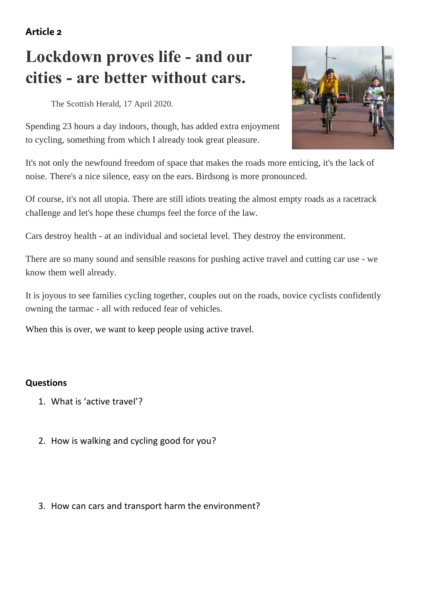**Article 2**

# **Lockdown proves life - and our cities - are better without cars.**

The Scottish Herald, 17 April 2020.



Spending 23 hours a day indoors, though, has added extra enjoyment to cycling, something from which I already took great pleasure.

It's not only the newfound freedom of space that makes the roads more enticing, it's the lack of noise. There's a nice silence, easy on the ears. Birdsong is more pronounced.

Of course, it's not all utopia. There are still idiots treating the almost empty roads as a racetrack challenge and let's hope these chumps feel the force of the law.

Cars destroy health - at an individual and societal level. They destroy the environment.

There are so many sound and sensible reasons for pushing active travel and cutting car use - we know them well already.

It is joyous to see families cycling together, couples out on the roads, novice cyclists confidently owning the tarmac - all with reduced fear of vehicles.

When this is over, we want to keep people using active travel.

#### **Questions**

- 1. What is 'active travel'?
- 2. How is walking and cycling good for you?
- 3. How can cars and transport harm the environment?